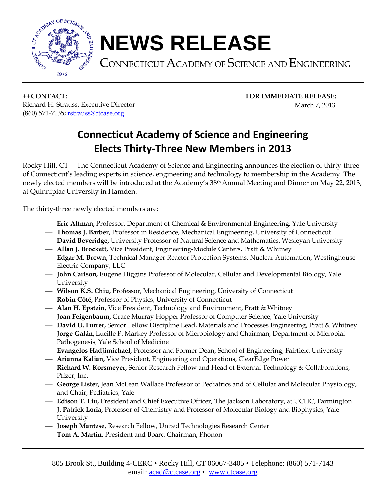

## **NEWS RELEASE**

CONNECTICUT ACADEMY OF SCIENCE AND ENGINEERING

**++CONTACT: FOR IMMEDIATE RELEASE:** Richard H. Strauss, Executive Director **March 7, 2013** (860) 571-7135; [rstrauss@ctcase.org](mailto:rstrauss@ctcase.org)

## **Connecticut Academy of Science and Engineering Elects Thirty-Three New Members in 2013**

Rocky Hill, CT —The Connecticut Academy of Science and Engineering announces the election of thirty-three of Connecticut's leading experts in science, engineering and technology to membership in the Academy. The newly elected members will be introduced at the Academy's 38th Annual Meeting and Dinner on May 22, 2013, at Quinnipiac University in Hamden.

The thirty-three newly elected members are:

- **Eric Altman,** Professor, Department of Chemical & Environmental Engineering, Yale University
- **Thomas J. Barber,** Professor in Residence, Mechanical Engineering, University of Connecticut
- **David Beveridge,** University Professor of Natural Science and Mathematics, Wesleyan University
- **Allan J. Brockett,** Vice President, Engineering-Module Centers, Pratt & Whitney
- **Edgar M. Brown,** Technical Manager Reactor Protection Systems, Nuclear Automation, Westinghouse Electric Company, LLC
- **John Carlson,** Eugene Higgins Professor of Molecular, Cellular and Developmental Biology, Yale University
- **Wilson K.S. Chiu,** Professor, Mechanical Engineering, University of Connecticut
- **Robin Côté,** Professor of Physics, University of Connecticut
- **Alan H. Epstein,** Vice President, Technology and Environment, Pratt & Whitney
- **Joan Feigenbaum,** Grace Murray Hopper Professor of Computer Science, Yale University
- **David U. Furrer,** Senior Fellow Discipline Lead, Materials and Processes Engineering, Pratt & Whitney
- **Jorge Galán,** Lucille P. Markey Professor of Microbiology and Chairman, Department of Microbial Pathogenesis, Yale School of Medicine
- **Evangelos Hadjimichael,** Professor and Former Dean, School of Engineering, Fairfield University
- **Arianna Kalian,** Vice President, Engineering and Operations, ClearEdge Power
- **Richard W. Korsmeyer,** Senior Research Fellow and Head of External Technology & Collaborations, Pfizer, Inc.
- **George Lister,** Jean McLean Wallace Professor of Pediatrics and of Cellular and Molecular Physiology, and Chair, Pediatrics, Yale
- **Edison T. Liu,** President and Chief Executive Officer, The Jackson Laboratory, at UCHC, Farmington
- **J. Patrick Loria,** Professor of Chemistry and Professor of Molecular Biology and Biophysics, Yale University
- **Joseph Mantese,** Research Fellow, United Technologies Research Center
- **Tom A. Martin**, President and Board Chairman**,** Phonon